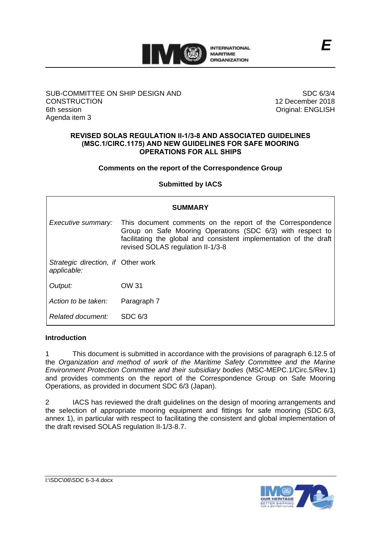

## SUB-COMMITTEE ON SHIP DESIGN AND **CONSTRUCTION** 6th session Agenda item 3

SDC 6/3/4 12 December 2018 Original: ENGLISH

#### **REVISED SOLAS REGULATION II-1/3-8 AND ASSOCIATED GUIDELINES (MSC.1/CIRC.1175) AND NEW GUIDELINES FOR SAFE MOORING OPERATIONS FOR ALL SHIPS**

## **Comments on the report of the Correspondence Group**

# **Submitted by IACS**

| <b>SUMMARY</b>                                    |                                                                                                                                                                                                                                     |
|---------------------------------------------------|-------------------------------------------------------------------------------------------------------------------------------------------------------------------------------------------------------------------------------------|
| Executive summary:                                | This document comments on the report of the Correspondence<br>Group on Safe Mooring Operations (SDC 6/3) with respect to<br>facilitating the global and consistent implementation of the draft<br>revised SOLAS regulation II-1/3-8 |
| Strategic direction, if Other work<br>applicable: |                                                                                                                                                                                                                                     |
| Output:                                           | OW 31                                                                                                                                                                                                                               |
| Action to be taken:                               | Paragraph 7                                                                                                                                                                                                                         |
| Related document:                                 | SDC 6/3                                                                                                                                                                                                                             |

## **Introduction**

1 This document is submitted in accordance with the provisions of paragraph 6.12.5 of the *Organization and method of work of the Maritime Safety Committee and the Marine Environment Protection Committee and their subsidiary bodies* (MSC-MEPC.1/Circ.5/Rev.1) and provides comments on the report of the Correspondence Group on Safe Mooring Operations, as provided in document SDC 6/3 (Japan).

2 IACS has reviewed the draft guidelines on the design of mooring arrangements and the selection of appropriate mooring equipment and fittings for safe mooring (SDC 6/3, annex 1), in particular with respect to facilitating the consistent and global implementation of the draft revised SOLAS regulation II-1/3-8.7.

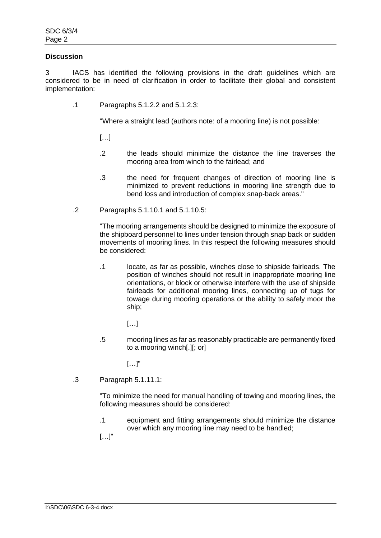## **Discussion**

3 IACS has identified the following provisions in the draft guidelines which are considered to be in need of clarification in order to facilitate their global and consistent implementation:

.1 Paragraphs 5.1.2.2 and 5.1.2.3:

"Where a straight lead (authors note: of a mooring line) is not possible:

[…]

- .2 the leads should minimize the distance the line traverses the mooring area from winch to the fairlead; and
- .3 the need for frequent changes of direction of mooring line is minimized to prevent reductions in mooring line strength due to bend loss and introduction of complex snap-back areas."
- .2 Paragraphs 5.1.10.1 and 5.1.10.5:

"The mooring arrangements should be designed to minimize the exposure of the shipboard personnel to lines under tension through snap back or sudden movements of mooring lines. In this respect the following measures should be considered:

- .1 locate, as far as possible, winches close to shipside fairleads. The position of winches should not result in inappropriate mooring line orientations, or block or otherwise interfere with the use of shipside fairleads for additional mooring lines, connecting up of tugs for towage during mooring operations or the ability to safely moor the ship;
	- […]
- .5 mooring lines as far as reasonably practicable are permanently fixed to a mooring winch[.][; or]

 $[...]$ "

.3 Paragraph 5.1.11.1:

"To minimize the need for manual handling of towing and mooring lines, the following measures should be considered:

.1 equipment and fitting arrangements should minimize the distance over which any mooring line may need to be handled;

[…]"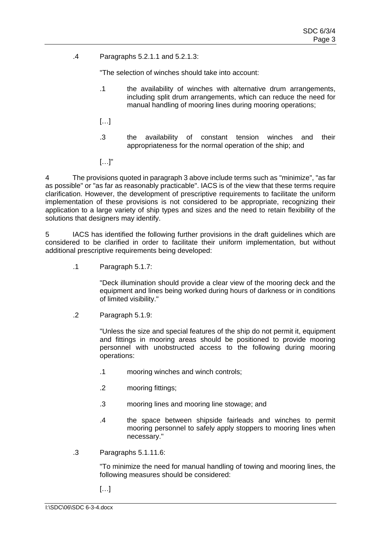.4 Paragraphs 5.2.1.1 and 5.2.1.3:

"The selection of winches should take into account:

- .1 the availability of winches with alternative drum arrangements, including split drum arrangements, which can reduce the need for manual handling of mooring lines during mooring operations;
- […]
- .3 the availability of constant tension winches and their appropriateness for the normal operation of the ship; and
- $[\ldots]$ "

4 The provisions quoted in paragraph 3 above include terms such as "minimize", "as far as possible" or "as far as reasonably practicable". IACS is of the view that these terms require clarification. However, the development of prescriptive requirements to facilitate the uniform implementation of these provisions is not considered to be appropriate, recognizing their application to a large variety of ship types and sizes and the need to retain flexibility of the solutions that designers may identify.

5 IACS has identified the following further provisions in the draft guidelines which are considered to be clarified in order to facilitate their uniform implementation, but without additional prescriptive requirements being developed:

.1 Paragraph 5.1.7:

"Deck illumination should provide a clear view of the mooring deck and the equipment and lines being worked during hours of darkness or in conditions of limited visibility."

.2 Paragraph 5.1.9:

"Unless the size and special features of the ship do not permit it, equipment and fittings in mooring areas should be positioned to provide mooring personnel with unobstructed access to the following during mooring operations:

- .1 mooring winches and winch controls;
- .2 mooring fittings;
- .3 mooring lines and mooring line stowage; and
- .4 the space between shipside fairleads and winches to permit mooring personnel to safely apply stoppers to mooring lines when necessary."
- .3 Paragraphs 5.1.11.6:

"To minimize the need for manual handling of towing and mooring lines, the following measures should be considered:

 $[...]$